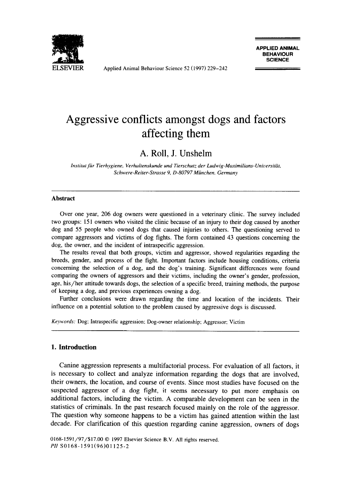

Applied Animal Behaviour Science 52 (1997) 229-242

# Aggressive conflicts amongst dogs and factors affecting them

# A. Roll, J. Unshelm

*Institutfir Tierhygiene, Verhaltenskunde und Tierschutz der Ludwig-Maximilians-Uniuersitiit, Schwere-Reiter-Strasse 9, D-80797 Miinchen. Germany* 

#### **Abstract**

Over one year, **206** dog owners were questioned in a veterinary clinic. The survey included two groups: 15 1 owners who visited the clinic because of an injury to their dog caused by another dog and 55 people who owned dogs that caused injuries to others. The questioning served to compare aggressors and victims of dog fights. The form contained 43 questions concerning the dog, the owner, and the incident of intraspecific aggression.

The results reveal that both groups, victim and aggressor, showed regularities regarding the breeds, gender, and process of the fight. Important factors include housing conditions, criteria concerning the selection of a dog, and the dog's training. Significant differences were found comparing the owners of aggressors and their victims, including the owner's gender, profession, age, his/her attitude towards dogs, the selection of a specific breed, training methods, the purpose of keeping a dog, and previous experiences owning a dog.

Further conclusions were drawn regarding the time and location of the incidents. Their influence on a potential solution to the problem caused by aggressive dogs is discussed.

*Keywords:* **Dog:** Intraspecific aggression: Dog-owner relationship; Aggressor; Victim

#### **1. Introduction**

Canine aggression represents a multifactorial process. For evaluation of all factors, it is necessary to collect and analyze information regarding the dogs that are involved, their owners, the location, and course of events. Since most studies have focused on the suspected aggressor of a dog fight, it seems necessary to put more emphasis on additional factors, including the victim. A comparable development can be seen in the statistics of criminals. In the past research focused mainly on the role of the aggressor. The question why someone happens to be a victim has gained attention within the last decade. For clarification of this question regarding canine aggression, owners of dogs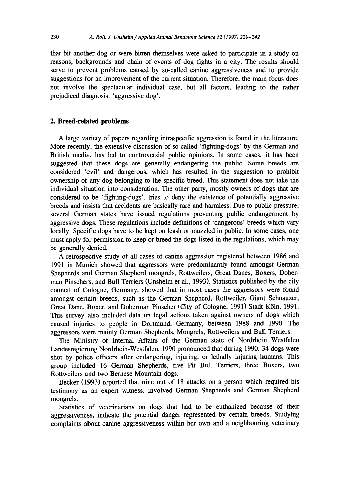that bit another dog or were bitten themselves were asked to participate in a study on reasons, backgrounds and chain of events of dog fights in a city. The results should serve to prevent problems caused by so-called canine aggressiveness and to provide suggestions for an improvement of the current situation. Therefore, the main focus does not involve the spectacular individual case, but all factors, leading to the rather prejudiced diagnosis: 'aggressive dog'.

#### 2. **Breed-related problems**

A large variety of papers regarding intraspecific aggression is found in the literature. More recently, the extensive discussion of so-called 'fighting-dogs' by the German and British media, has led to controversial public opinions. In some cases, it has been suggested that these dogs are generally endangering the public. Some breeds are considered 'evil' and dangerous, which has resulted in the suggestion to prohibit ownership of any dog belonging to the specific breed. This statement does not take the individual situation into consideration. The other party, mostly owners of dogs that are considered to be 'fighting-dogs', tries to deny the existence of potentially aggressive breeds and insists that accidents are basically rare and harmless. Due to public pressure, several German states have issued regulations preventing public endangerment by aggressive dogs. These regulations include definitions of 'dangerous' breeds which vary locally. Specific dogs have to be kept on leash or muzzled in public. In some cases, one must apply for permission to keep or breed the dogs listed in the regulations, which may be generally denied.

A retrospective study of all cases of canine aggression registered between 1986 and 1991 in Munich showed that aggressors were predominantly found amongst German Shepherds and German Shepherd mongrels, Rottweilers, Great Danes, Boxers, Doberman Pinschers, and Bull Terriers (Unshelm et al., 1993). Statistics published by the city council of Cologne, Germany, showed that in most cases the aggressors were found amongst certain breeds, such as the German Shepherd, Rottweiler, Giant Schnauzer, Great Dane, Boxer, and Doberman Pinscher (City of Cologne, 1991) Stadt Koln, 1991. This survey also included data on legal actions taken against owners of dogs which caused injuries to people in Dortmund, Germany, between 1988 and 1990. The aggressors were mainly German Shepherds, Mongrels, Rottweilers and Bull Terriers.

The Ministry of Internal Affairs of the German state of Nordrhein Westfalen Landesregierung Nordrhein-Westfalen, 1990 pronounced that during 1990, 34 dogs were shot by police officers after endangering, injuring, or lethally injuring humans. This group included 16 German Shepherds, five Pit Bull Terriers, three Boxers, two Rottweilers and two Bemese Mountain dogs.

Becker (1993) reported that nine out of 18 attacks on a person which required his testimony as an expert witness, involved German Shepherds and German Shepherd mongrels.

Statistics of veterinarians on dogs that had to be euthanized because of their aggressiveness, indicate the potential danger represented by certain breeds. Studying complaints about canine aggressiveness within her own and a neighbouring veterinary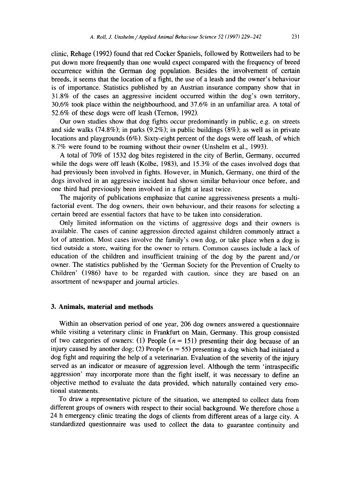clinic, Rehage (1992) found that red Cocker Spaniels, followed by Rottweilers had to be put **down more frequently than one would** expect compared with the frequency of breed occurrence within the German dog population. Besides the involvement of certain breeds, it seems that the location of a fight, the use of a leash and the owner's behaviour is of importance. Statistics published by an Austrian insurance company show that in 3 1.8% of the cases an aggressive incident occurred within the dog's own territory, 30,6% took place within the neighbourhood, and 37.6% in an unfamiliar area. A total of 52.6% of these dogs were off leash (Temon, 1992).

Our own studies show that dog fights occur predominantly in public, e.g. on streets and side walks (74.8%); in parks (9.2%); in public buildings (8%); as well as in private locations and playgrounds (6%). Sixty-eight percent of the dogs were off leash, of which 8.7% were found to be roaming without their owner (Unshelm et al., 1993).

A total of 70% of 1532 dog bites registered in the city of Berlin, Germany, occurred while the dogs were off leash (Kolbe, 1983), and 15.3% of the cases involved dogs that had previously been involved in fights. However, in Munich, Germany, one third of the dogs involved in an aggressive incident had shown similar behaviour once before, and one third had previously been involved in a fight at least twice.

The majority of publications emphasize that canine aggressiveness presents a multifactorial event. The dog owners, their own behaviour, and their reasons for selecting a certain breed are essential factors that have to be taken into consideration.

Only limited information on the victims of aggressive dogs and their owners is available. The cases of canine aggression directed against children commonly attract a lot of attention. Most cases involve the family's own dog, or take place when a dog is tied outside a store, waiting for the owner to return. Common causes include a lack of education of the children and insufficient training of the dog by the parent and/or owner. The statistics published by the 'German Society for the Prevention of Cruelty to Children' (1986) have to be regarded with caution, since they are based on an assortment of newspaper and journal articles.

# 3. **Animals, material and methods**

Within an observation period of one year, 206 dog owners answered a questionnaire while visiting a veterinary clinic in Frankfurt on Main, Germany. This group consisted of two categories of owners: (1) People  $(n = 151)$  presenting their dog because of an injury caused by another dog; (2) People ( $n = 55$ ) presenting a dog which had initiated a dog fight and requiring the help of a veterinarian. Evaluation of the severity of the injury served as an indicator or measure of aggression level. Although the term 'intraspecific aggression' may incorporate more than the fight itself, it was necessary to define an objective method to evaluate the data provided, which naturally contained very emotional statements.

To draw a representative picture of the situation, we attempted to collect data from different groups of owners with respect to their social background. We therefore chose a 24 h emergency clinic treating the dogs of clients from different areas of a large city. A standardized questionnaire was used to collect the data to guarantee continuity and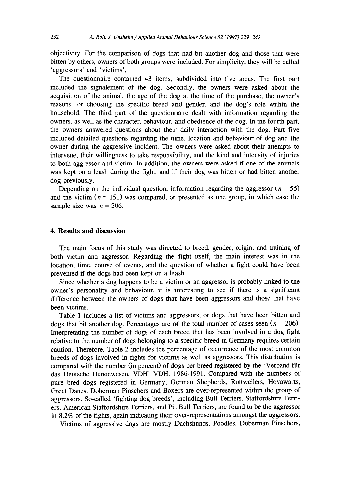objectivity. For the comparison of dogs that had bit another dog and those that were bitten by others, owners of both groups were included. For simplicity, they will be called 'aggressors' and ' victims',

The questionnaire contained 43 items, subdivided into five areas. The first part included the signalement of the dog. Secondly, the owners were asked about the acquisition of the animal, the age of the dog at the time of the purchase, the owner's reasons for choosing the specific breed and gender, and the dog's role within the household. The third part of the questionnaire dealt with information regarding the owners, as well as the character, behaviour, and obedience of the dog. In the fourth part, the owners answered questions about their daily interaction with the dog. Part five included detailed questions regarding the time, location and behaviour of dog and the owner during the aggressive incident. The owners were asked about their attempts to intervene, their willingness to take responsibility, and the kind and intensity of injuries to both aggressor and victim. In addition, the owners were asked if one of the animals was kept on a leash during the fight, and if their dog was bitten or had bitten another dog previously.

Depending on the individual question, information regarding the aggressor ( $n = 55$ ) and the victim  $(n = 151)$  was compared, or presented as one group, in which case the sample size was  $n = 206$ .

## 4. **Results and discussion**

The main focus of this study was directed to breed, gender, origin, and training of both victim and aggressor. Regarding the fight itself, the main interest was in the location, time, course of events, and the question of whether a fight could have been prevented if the dogs had been kept on a leash.

Since whether a dog happens to be a victim or an aggressor is probably linked to the owner's personality and behaviour, it is interesting to see if there is a significant difference between the owners of dogs that have been aggressors and those that have been victims.

Table 1 includes a list of victims and aggressors, or dogs that have been bitten and dogs that bit another dog. Percentages are of the total number of cases seen  $(n = 206)$ . Interpretating the number of dogs of each breed that has been involved in a dog fight relative to the number of dogs belonging to a specific breed in Germany requires certain caution. Therefore, Table 2 includes the percentage of occurrence of the most common breeds of dogs involved in fights for victims as well as aggressors. This distribution is compared with the number (in percent) of dogs per breed registered by the 'Verband fur das Deutsche Hundewesen, VDH' VDH, 1986-1991. Compared with the numbers of pure bred dogs registered in Germany, German Shepherds, Rottweilers, Hovawarts, Great Danes, Doberman Pinschers and Boxers are over-represented within the group of aggressors. So-called 'fighting dog breeds', including Bull Terriers, Staffordshire Terriers, American Staffordshire Terriers, and Pit Bull Terriers, are found to be the aggressor in 8.2% of the fights, again indicating their over-representations amongst the aggressors.

Victims of aggressive dogs are mostly Dachshunds, Poodles, Doberman Pinschers,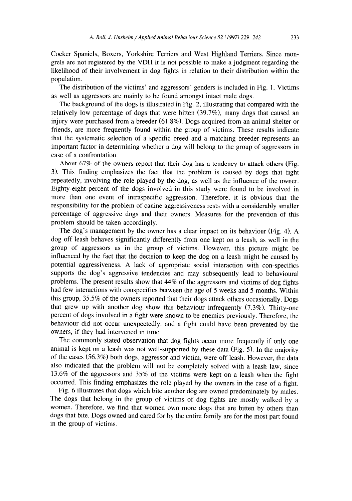Cocker Spaniels, Boxers, Yorkshire Terriers and West Highland Terriers. Since mongrels are not registered by the VDH it is not possible to make a judgment regarding the likelihood of their involvement in dog fights in relation to their distribution within the population.

The distribution of the victims' and aggressors' genders is included in Fig. 1. Victims as well as aggressors are mainly to be found amongst intact male dogs.

The background of the dogs is illustrated in Fig. 2, illustrating that compared with the relatively low percentage of dogs that were bitten (39.7%), many dogs that caused an injury were purchased from a breeder (61.8%). Dogs acquired from an animal shelter or friends, are more frequently found within the group of victims. These results indicate that the systematic selection of a specific breed and a matching breeder represents an important factor in determining whether a dog will belong to the group of aggressors in case of a confrontation.

About 67% of the owners report that their dog has a tendency to attack others (Fig. 3). This finding emphasizes the fact that the problem is caused by dogs that fight repeatedly, involving the role played by the dog, as well as the influence of the owner. Eighty-eight percent of the dogs involved in this study were found to be involved in more than one event of intraspecific aggression. Therefore. it is obvious that the responsibility for the problem of canine aggressiveness rests with a considerably smaller percentage of aggressive dogs and their owners. Measures for the prevention of this problem should be taken accordingly.

The dog's management by the owner has a clear impact on its behaviour (Fig. 4). A dog off leash behaves significantly differently from one kept on a leash, as well in the group of aggressors as in the group of victims. However, this picture might be influenced by the fact that the decision to keep the dog on a leash might be caused by potential aggressiveness. A lack of appropriate social interaction with con-specifics supports the dog's aggressive tendencies and may subsequently lead to behavioural problems. The present results show that 44% of the aggressors and victims of dog fights had few interactions with conspecifics between the age of 5 weeks and 5 months. Within this group, 35.5% of the owners reported that their dogs attack others occasionally. Dogs that grew up with another dog show this behaviour infrequently (7.3%). Thirty-one percent of dogs involved in a fight were known to be enemies previously. Therefore, the behaviour did not occur unexpectedly, and a fight could have been prevented by the owners, if they had intervened in time.

The commonly stated observation that dog fights occur more frequently if only one animal is kept on a leash was not well-supported by these data (Fig. 5). In the majority of the cases (56.3%) both dogs, aggressor and victim, were off leash. However, the data also indicated that the problem will not be completely solved with a leash law, since 13.6% of the aggressors and 35% of the victims were kept on a leash when the fight occurred. This finding emphasizes the role played by the owners in the case of a fight.

Fig. 6 illustrates that dogs which bite another dog are owned predominately by males. The dogs that belong in the group of victims of dog fights are mostly walked by a women. Therefore, we find that women own more dogs that are bitten by others than dogs that bite. Dogs owned and cared for by the entire family are for the most part found in the group of victims.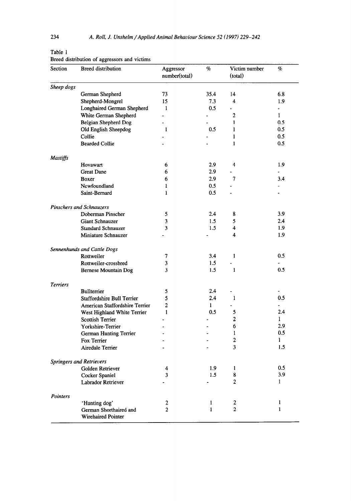| r<br>× |  |
|--------|--|
|--------|--|

Breed distribution of aggressors and victims

| Section         | <b>Breed distribution</b>       | Aggressor<br>number(total) | $\%$         | Victim number<br>(total) | %                    |
|-----------------|---------------------------------|----------------------------|--------------|--------------------------|----------------------|
| Sheep dogs      |                                 |                            |              |                          |                      |
|                 | German Shepherd                 | 73                         | 35.4         | 14                       | 6.8                  |
|                 | Shepherd-Mongrel                | 15                         | 7.3          | 4                        | 1.9                  |
|                 | Longhaired German Shepherd      | 1                          | 0.5          |                          | $\ddot{\phantom{a}}$ |
|                 | White German Shepherd           | ÷.                         |              | $\overline{2}$           | $\mathbf{1}$         |
|                 | Belgian Shepherd Dog            | $\overline{a}$             |              | $\mathbf{1}$             | 0.5                  |
|                 | Old English Sheepdog            | $\mathbf{1}$               | 0.5          | $\mathbf{1}$             | 0.5                  |
|                 | Collie                          |                            |              | $\mathbf{1}$             | 0.5                  |
|                 | <b>Bearded Collie</b>           |                            |              | $\mathbf{1}$             | 0.5                  |
| Mastiffs        |                                 |                            |              |                          |                      |
|                 | Hovawart                        | 6                          | 2.9          | 4                        | 1.9                  |
|                 | <b>Great Dane</b>               | 6                          | 2.9          |                          | $\overline{a}$       |
|                 | Boxer                           | 6                          | 2.9          | 7                        | 3.4                  |
|                 | Newfoundland                    | 1                          | 0.5          |                          |                      |
|                 | Saint-Bernard                   | 1                          | 0.5          |                          |                      |
|                 | Pinschers and Schnauzers        |                            |              |                          |                      |
|                 | Doberman Pinscher               | 5                          | 2.4          | 8                        | 3.9                  |
|                 | <b>Giant Schnauzer</b>          | 3                          | 1.5          | 5                        | 2.4                  |
|                 | <b>Standard Schnauzer</b>       | 3                          | 1.5          | $\overline{\mathbf{4}}$  | 1.9                  |
|                 | Miniature Schnauzer             |                            |              | 4                        | 1.9                  |
|                 | Sennenhunds and Cattle Dogs     |                            |              |                          |                      |
|                 | Rottweiler                      | 7                          | 3.4          | $\mathbf{1}$             | 0.5                  |
|                 | Rottweiler-crossbred            | 3                          | 1.5          |                          |                      |
|                 | <b>Bernese Mountain Dog</b>     | 3                          | 1.5          | $\mathbf{1}$             | 0.5                  |
| <b>Terriers</b> |                                 |                            |              |                          |                      |
|                 | Bullterrier                     | 5                          | 2.4          |                          |                      |
|                 | Staffordshire Bull Terrier      | 5                          | 2.4          | $\mathbf{1}$             | 0.5                  |
|                 | American Staffordshire Terrier  | $\overline{2}$             | $\mathbf{1}$ |                          | $\overline{a}$       |
|                 | West Highland White Terrier     | $\mathbf{1}$               | 0.5          | 5                        | 2.4                  |
|                 | <b>Scottish Terrier</b>         |                            |              | $\overline{2}$           | $\mathbf{1}$         |
|                 | Yorkshire-Terrier               |                            |              | 6                        | 2.9                  |
|                 | German Hunting Terrier          |                            |              | $\mathbf{1}$             | 0.5                  |
|                 | Fox Terrier                     |                            |              | $\overline{2}$           | 1                    |
|                 | Airedale Terrier                |                            |              | 3                        | 1.5                  |
|                 | <b>Springers and Retrievers</b> |                            |              |                          |                      |
|                 | Golden Retriever                | 4                          | 1.9          | 1                        | 0.5                  |
|                 | Cocker Spaniel                  | 3                          | 1.5          | 8                        | 3.9                  |
|                 | Labrador Retriever              |                            |              | 2                        | $\mathbf{1}$         |
| Pointers        |                                 |                            |              |                          |                      |
|                 | 'Hunting dog'                   | 2                          | $\mathbf{1}$ | 2                        | $\mathbf{I}$         |
|                 | German Shorthaired and          | $\overline{2}$             | $\mathbf{1}$ | $\overline{2}$           | $\mathbf{1}$         |
|                 | <b>Wirehaired Pointer</b>       |                            |              |                          |                      |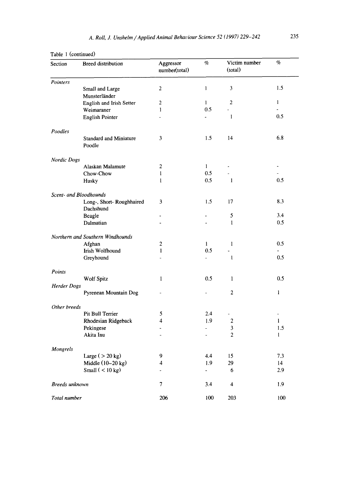| Section            | <b>Breed distribution</b>               | Aggressor<br>number(total) | $\%$           | Victim number<br>(total) | $\%$           |
|--------------------|-----------------------------------------|----------------------------|----------------|--------------------------|----------------|
| Pointers           |                                         |                            |                |                          |                |
|                    | Small and Large                         | $\overline{2}$             | $\mathbf{1}$   | 3                        | 1.5            |
|                    | Munsterländer                           |                            |                |                          |                |
|                    | English and Irish Setter                | $\overline{2}$             | $\mathbf{1}$   | $\overline{a}$           | $\mathbf{1}$   |
|                    | Weimaraner                              | $\mathbf{1}$               | 0.5            | L.                       | ÷.<br>0.5      |
|                    | English Pointer                         |                            |                | $\mathbf{1}$             |                |
| Poodles            |                                         |                            |                |                          |                |
|                    | <b>Standard and Miniature</b><br>Poodle | 3                          | 1.5            | 14                       | 6.8            |
| <b>Nordic Dogs</b> |                                         |                            |                |                          |                |
|                    | Alaskan Malamute                        | 2                          | $\mathbf{1}$   |                          |                |
|                    | Chow-Chow                               | 1                          | 0.5            |                          |                |
|                    | Husky                                   | $\mathbf{1}$               | 0.5            | $\mathbf{1}$             | 0.5            |
|                    | Scent- and Bloodhounds                  |                            |                |                          |                |
|                    | Long-, Short-Roughhaired<br>Dachshund   | 3                          | 1.5            | 17                       | 8.3            |
|                    | Beagle                                  | $\overline{\phantom{a}}$   |                | 5                        | 3.4            |
|                    | Dalmatian                               | ÷.                         |                | $\mathbf{1}$             | 0.5            |
|                    | Northern and Southern Windhounds        |                            |                |                          |                |
|                    | Afghan                                  | $\overline{2}$             | 1              | $\mathbf{1}$             | 0.5            |
|                    | Irish Wolfhound                         | $\mathbf{1}$               | 0.5            |                          |                |
|                    | Greyhound                               | ä,                         |                | $\mathbf{1}$             | 0.5            |
| Points             |                                         |                            |                |                          |                |
|                    | <b>Wolf Spitz</b>                       | $\mathbf{1}$               | 0.5            | $\mathbf{1}$             | 0.5            |
| <b>Herder Dogs</b> |                                         |                            |                |                          |                |
|                    | Pyrenean Mountain Dog                   |                            |                | $\overline{2}$           | $\mathbf{1}$   |
| Other breeds       |                                         |                            |                |                          |                |
|                    | Pit Bull Terrier                        | 5                          | 2.4            |                          | $\overline{a}$ |
|                    | Rhodesian Ridgeback                     | 4                          | 1.9            | 2                        | 1              |
|                    | Pekingese                               | $\overline{\phantom{a}}$   |                | 3                        | 1.5            |
|                    | Akita Inu                               | ÷.                         |                | $\overline{c}$           | $\mathbf{1}$   |
| Mongrels           |                                         |                            |                |                          |                |
|                    | Large ( $>$ 20 kg)                      | 9                          | 4.4            | 15                       | 7.3            |
|                    | Middle $(10-20$ kg)                     | 4                          | 1.9            | 29                       | 14             |
|                    | Small $(< 10 kg)$                       | ä,                         | $\blacksquare$ | 6                        | 2.9            |
| Breeds unknown     |                                         | 7                          | 3.4            | 4                        | 1.9            |
| Total number       |                                         | 206                        | 100            | 203                      | 100            |

#### Table 1 (continued)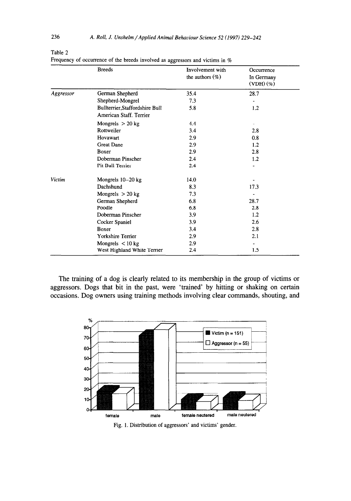|           | <b>Breeds</b>                                              | Involvement with<br>the authors $(\%)$ | Occurrence<br>In Germany<br>$(VDH)(\%)$ |  |
|-----------|------------------------------------------------------------|----------------------------------------|-----------------------------------------|--|
| Aggressor | German Shepherd                                            | 35.4                                   | 28.7                                    |  |
|           | Shepherd-Mongrel                                           | 7.3                                    |                                         |  |
|           | Bullterrier, Staffordshire Bull<br>American Staff. Terrier | 5.8                                    | 1.2                                     |  |
|           | Mongrels $> 20$ kg                                         | 4.4                                    |                                         |  |
|           | Rottweiler                                                 | 3.4                                    | 2.8                                     |  |
|           | Hovawart                                                   | 2.9                                    | 0.8                                     |  |
|           | <b>Great Dane</b>                                          | 2.9                                    | 1.2                                     |  |
|           | Boxer                                                      | 2.9                                    | 2.8                                     |  |
|           | Doberman Pinscher                                          | 2.4                                    | 1.2                                     |  |
|           | Pit Bull Terrier                                           | 2.4                                    |                                         |  |
| Victim    | Mongrels 10-20 kg                                          | 14.0                                   |                                         |  |
|           | Dachshund                                                  | 8.3                                    | 17.3                                    |  |
|           | Mongrels $> 20$ kg                                         | 7.3                                    |                                         |  |
|           | German Shepherd                                            | 6.8                                    | 28.7                                    |  |
|           | Poodle                                                     | 6.8                                    | 2.8                                     |  |
|           | Doberman Pinscher                                          | 3.9                                    | 1.2                                     |  |
|           | Cocker Spaniel                                             | 3.9                                    | 2.6                                     |  |
|           | Boxer                                                      | 3.4                                    | 2.8                                     |  |
|           | Yorkshire Terrier                                          | 2.9                                    | 2.1                                     |  |
|           | Mongrels $<$ 10 kg                                         | 2.9                                    |                                         |  |
|           | West Highland White Terrier                                | 2.4                                    | 1.5                                     |  |

Table 2

Frequency of occurrence of the breeds involved as aggressors and victims in %

The training of a dog is clearly related to its membership in the group of victims or aggressors. Dogs that bit in the past, were 'trained' by hitting or shaking on certain occasions. Dog owners using training methods involving clear commands, shouting, and



Fig. 1. Distribution of aggressors' and victims' gender.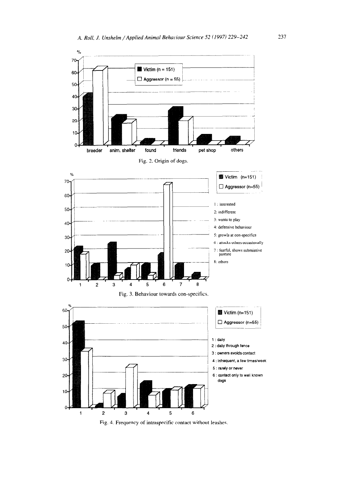

Fig. 4. Frequency of intraspecific contact without leashes.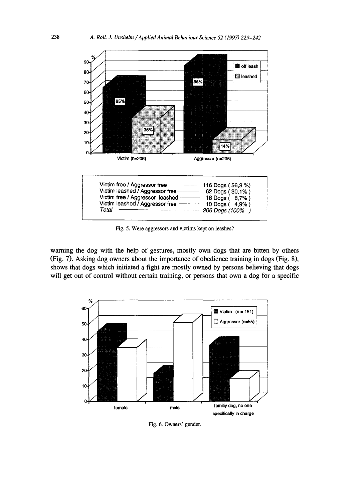

Fig. 5. Were aggressors and victims kept on leashes?

warning the dog with the help of gestures, mostly own dogs that are bitten by others (Fig. 7). Asking dog owners about the importance of obedience training in dogs (Fig. 81, shows that dogs which initiated a fight are mostly owned by persons believing that dogs will get out of control without certain training, or persons that own a dog for a specific



Fig. 6. Owners' gender.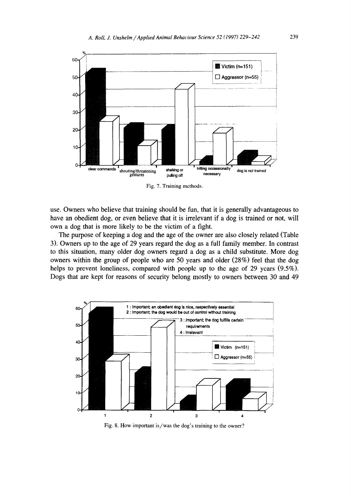

Fig. 7. Training methods.

use. Owners who believe that training should be fun, that it is generally advantageous to have an obedient dog, or even believe that it is irrelevant if a dog is trained or not, will own a dog that is more likely to be the victim of a fight.

The purpose of keeping a dog and the age of the owner are also closely related (Table 3). Owners up to the age of 29 years regard the dog as a full family member. In contrast to this situation, many older dog owners regard a dog as a child substitute. More dog owners within the group of people who are 50 years and older (28%) feel that the dog helps to prevent loneliness, compared with people up to the age of 29 years  $(9.5\%)$ . Dogs that are kept for reasons of security belong mostly to owners between 30 and 49



Fig. 8. How important is/was the dog's training to the owner?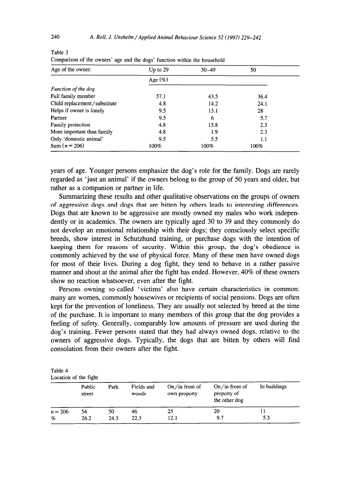| Up to $29$ | $30 - 49$ | 50   |  |
|------------|-----------|------|--|
| Age $(\%)$ |           |      |  |
|            |           |      |  |
| 57.1       | 43.5      | 36.4 |  |
| 4.8        | 14.2      | 24.1 |  |
| 9.5        | 13.1      | 28   |  |
| 9.5        | 6         | 5.7  |  |
| 4.8        | 15.8      | 2.3  |  |
| 4.8        | 1.9       | 2.3  |  |
| 9.5        | 5.5       | 1.1  |  |
| 100%       | 100%      | 100% |  |
|            |           |      |  |

Table 3 Comparison of the owners' age and the dogs' function within the household

years of age. Younger persons emphasize the dog's role for the family. Dogs are rarely regarded as 'just an animal' if the owners belong to the group of 50 years and older, but rather as a companion or partner in life.

Summarizing these results and other qualitative observations on the groups of owners of aggressive dogs and dogs that are bitten by others leads to interesting differences. Dogs that are known to be aggressive are mostly owned my males who work independently or in academics. The owners are typically aged 30 to 39 and they commonly do not develop an emotional relationship with their dogs; they consciously select specific breeds, show interest in Schutzhund training, or purchase dogs with the intention of keeping them for reasons of security. Within this group, the dog's obedience is commonly achieved by the use of physical force. Many of these men have owned dogs for most of their lives. During a dog fight, they tend to behave in a rather passive manner and shout at the animal after the fight has ended. However, 40% of these owners show no reaction whatsoever, even after the fight.

Persons owning so-called 'victims' also have certain characteristics in common: many are women, commonly housewives or recipients of social pensions. Dogs are often kept for the prevention of loneliness. They are usually not selected by breed at the time of the purchase, It is important to many members of this group that the dog provides a feeling of safety. Generally, comparably low amounts of pressure are used during the dog's training. Fewer persons stated that they had always owned dogs, relative to the owners of aggressive dogs. Typically, the dogs that are bitten by others will find consolation from their owners after the fight.

| Table 4               |  |  |
|-----------------------|--|--|
| Location of the fight |  |  |

|           | Public<br>Park<br>street |      | $On/in$ front of<br>Fields and<br>woods<br>own property |      | In buildings<br>$On/in$ front of<br>property of<br>the other dog |     |  |
|-----------|--------------------------|------|---------------------------------------------------------|------|------------------------------------------------------------------|-----|--|
| $n = 206$ | 54                       | 50   | 46                                                      | 25   | 20                                                               |     |  |
| $\%$      | 26.2                     | 24.3 | 22.3                                                    | 12.1 | 9.7                                                              | 5.3 |  |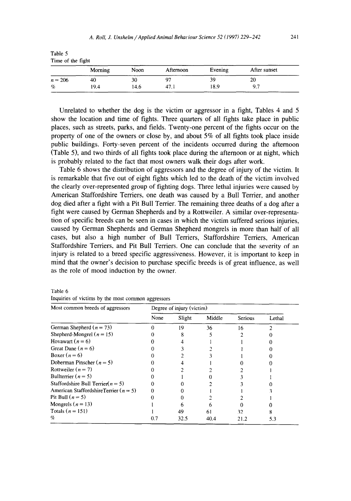|           | Time of the fight |      |           |         |              |  |  |  |
|-----------|-------------------|------|-----------|---------|--------------|--|--|--|
|           | Morning           | Noon | Afternoon | Evening | After sunset |  |  |  |
| $n = 206$ | 40                | 30   |           | 39      | 20           |  |  |  |
| %         | 19.4              | 14.6 | 47.1      | 18.9    | 9.7          |  |  |  |

Unrelated to whether the dog is the victim or aggressor in a fight, Tables 4 and 5 show the location and time of fights. Three quarters of all fights take place in public places, such as streets, parks, and fields. Twenty-one percent of the fights occur on the property of one of the owners or close by, and about 5% of all fights took place inside public buildings. Forty-seven percent of the incidents occurred during the afternoon (Table 5), and two thirds of all fights took place during the afternoon or at night, which is probably related to the fact that most owners walk their dogs after work.

Table 6 shows the distribution of aggressors and the degree of injury of the victim. It is remarkable that five out of eight fights which led to the death of the victim involved the clearly over-represented group of fighting dogs. Three lethal injuries were caused by American Staffordshire Terriers, one death was caused by a Bull Terrier, and another dog died after a fight with a Pit Bull Terrier. The remaining three deaths of a dog after a fight were caused by German Shepherds and by a Rottweiler. A similar over-representation of specific breeds can be seen in cases in which the victim suffered serious injuries. caused by German Shepherds and German Shepherd mongrels in more than half of all cases, but also a high number of Bull Terriers, Staffordshire Terriers, American Staffordshire Terriers, and Pit Bull Terriers. One can conclude that the severity of an injury is related to a breed specific aggressiveness. However, it is important to keep in mind that the owner's decision to purchase specific breeds is of great influence, as well as the role of mood induction by the owner.

| Most common breeds of aggressors          | Degree of injury (victim) |        |        |                |        |  |
|-------------------------------------------|---------------------------|--------|--------|----------------|--------|--|
|                                           | None                      | Slight | Middle | <b>Serious</b> | Lethal |  |
| German Shepherd ( $n = 73$ )              |                           | 19     | 36     | 16             |        |  |
| Shepherd-Mongrel ( $n = 15$ )             |                           | 8      |        |                |        |  |
| Hovawart $(n=6)$                          |                           |        |        |                |        |  |
| Great Dane $(n=6)$                        |                           |        |        |                |        |  |
| Boxer $(n=6)$                             |                           |        |        |                |        |  |
| Doberman Pinscher ( $n = 5$ )             |                           |        |        |                |        |  |
| Rottweiler $(n = 7)$                      |                           |        |        |                |        |  |
| Bullterrier ( $n = 5$ )                   |                           |        |        |                |        |  |
| Staffordshire Bull Terrier( $n = 5$ )     |                           |        |        |                |        |  |
| American StaffordshireTerrier ( $n = 5$ ) |                           |        |        |                |        |  |
| Pit Bull $(n = 5)$                        |                           |        |        |                |        |  |
| Mongrels ( $n = 13$ )                     |                           |        |        |                |        |  |
| Totals $(n = 151)$                        |                           | 49     | 61     | 32.            |        |  |
| Y.                                        | 0.7                       | 32.5   | 40.4   | 21.2           | 5.3    |  |

Table 6 Inquiries of victims by the most common aggressors

Table 5